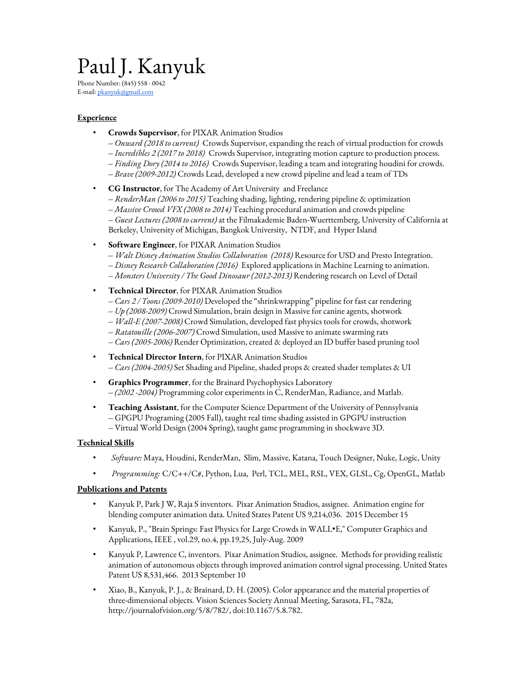# Paul J. Kanyuk

Phone Number: (845) 558 - 0042 E-mail: [pkanyuk@gmail.com](mailto:pkanyuk@gmail.com)

## **Experience**

- **Crowds Supervisor**, for PIXAR Animation Studios
	- *-- Onward (2018 to current)* Crowds Supervisor, expanding the reach of virtual production for crowds
	- *-- Incredibles 2 (2017 to 2018)* Crowds Supervisor, integrating motion capture to production process.
	- *-- Finding Dory (2014 to 2016)* Crowds Supervisor, leading a team and integrating houdini for crowds.
	- *-- Brave (2009-2012)* Crowds Lead, developed a new crowd pipeline and lead a team of TDs
- **CG Instructor**, for The Academy of Art University and Freelance
	- *-- RenderMan (2006 to 2015)* Teaching shading, lighting, rendering pipeline & optimization
	- *-- Massive Crowd VFX (2008 to 2014)* Teaching procedural animation and crowds pipeline
	- *-- Guest Lectures (2008 to current)* at the Filmakademie Baden-Wuerttemberg, University of California at Berkeley, University of Michigan, Bangkok University, NTDF, and Hyper Island
- **Software Engineer**, for PIXAR Animation Studios
	- *-- Walt Disney Animation Studios Collaboration (2018)* Resource for USD and Presto Integration.
	- *-- Disney Research Collaboration (2016)* Explored applications in Machine Learning to animation.
	- *-- Monsters University / The Good Dinosaur (2012-2013)* Rendering research on Level of Detail
- **Technical Director**, for PIXAR Animation Studios
	- *-- Cars 2 / Toons (2009-2010)* Developed the "shrinkwrapping" pipeline for fast car rendering
	- *-- Up (2008-2009)* Crowd Simulation, brain design in Massive for canine agents, shotwork
	- *-- Wall-E (2007-2008)* Crowd Simulation, developed fast physics tools for crowds, shotwork
	- *-- Ratatouille (2006-2007)* Crowd Simulation, used Massive to animate swarming rats
	- *-- Cars (2005-2006)* Render Optimization, created & deployed an ID buffer based pruning tool
- **Technical Director Intern**, for PIXAR Animation Studios *-- Cars (2004-2005)* Set Shading and Pipeline, shaded props & created shader templates & UI
- **Graphics Programmer**, for the Brainard Psychophysics Laboratory *-- (2002 -2004)* Programming color experiments in C, RenderMan, Radiance, and Matlab.
- **Teaching Assistant**, for the Computer Science Department of the University of Pennsylvania -- GPGPU Programing (2005 Fall), taught real time shading assisted in GPGPU instruction -- Virtual World Design (2004 Spring), taught game programming in shockwave 3D.

## **Technical Skills**

- *Software:* Maya, Houdini, RenderMan, Slim, Massive, Katana, Touch Designer, Nuke, Logic, Unity
- *Programming:* C/C++/C#, Python, Lua, Perl, TCL, MEL, RSL, VEX, GLSL, Cg, OpenGL, Matlab

## **Publications and Patents**

- Kanyuk P, Park J W, Raja S inventors. Pixar Animation Studios, assignee. Animation engine for blending computer animation data. United States Patent US 9,214,036. 2015 December 15
- Kanyuk, P., "Brain Springs: Fast Physics for Large Crowds in WALL•E," Computer Graphics and Applications, IEEE , vol.29, no.4, pp.19,25, July-Aug. 2009
- Kanyuk P, Lawrence C, inventors. Pixar Animation Studios, assignee. Methods for providing realistic animation of autonomous objects through improved animation control signal processing. United States Patent US 8,531,466. 2013 September 10
- Xiao, B., Kanyuk, P. J., & Brainard, D. H. (2005). Color appearance and the material properties of three-dimensional objects. Vision Sciences Society Annual Meeting, Sarasota, FL, 782a, http://journalofvision.org/5/8/782/, doi:10.1167/5.8.782.